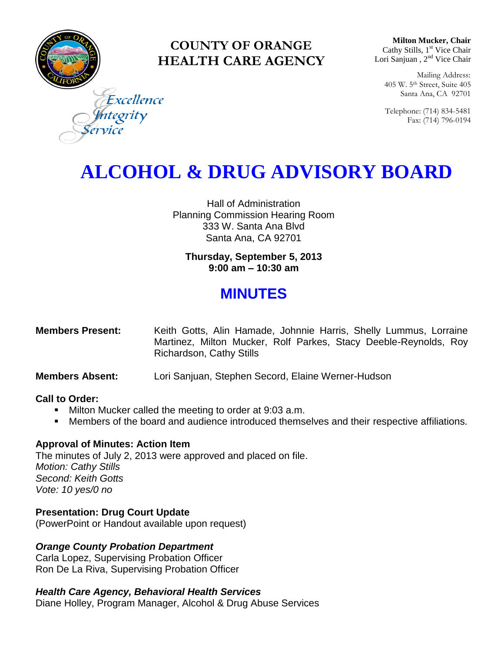

### **COUNTY OF ORANGE HEALTH CARE AGENCY**

**Milton Mucker, Chair** Cathy Stills, 1<sup>st</sup> Vice Chair Lori Sanjuan, 2<sup>nd</sup> Vice Chair

Mailing Address: 405 W. 5th Street, Suite 405 Santa Ana, CA 92701

Telephone: (714) 834-5481 Fax: (714) 796-0194

Excellence egrity

# **ALCOHOL & DRUG ADVISORY BOARD**

Hall of Administration Planning Commission Hearing Room 333 W. Santa Ana Blvd Santa Ana, CA 92701

**Thursday, September 5, 2013 9:00 am – 10:30 am**

## **MINUTES**

| <b>Members Present:</b> | Keith Gotts, Alin Hamade, Johnnie Harris, Shelly Lummus, Lorraine |
|-------------------------|-------------------------------------------------------------------|
|                         | Martinez, Milton Mucker, Rolf Parkes, Stacy Deeble-Reynolds, Roy  |
|                         | Richardson, Cathy Stills                                          |

**Members Absent:** Lori Sanjuan, Stephen Secord, Elaine Werner-Hudson

#### **Call to Order:**

- **Milton Mucker called the meeting to order at 9:03 a.m.**
- **Members of the board and audience introduced themselves and their respective affiliations.**

#### **Approval of Minutes: Action Item**

The minutes of July 2, 2013 were approved and placed on file. *Motion: Cathy Stills Second: Keith Gotts Vote: 10 yes/0 no*

### **Presentation: Drug Court Update**

(PowerPoint or Handout available upon request)

### *Orange County Probation Department*

Carla Lopez, Supervising Probation Officer Ron De La Riva, Supervising Probation Officer

### *Health Care Agency, Behavioral Health Services*

Diane Holley, Program Manager, Alcohol & Drug Abuse Services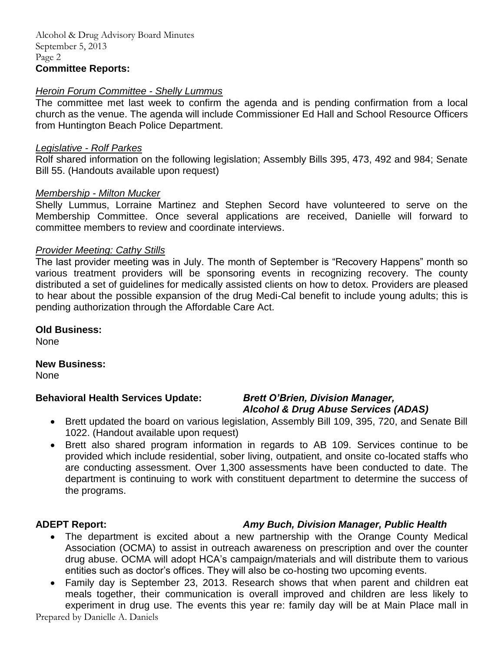#### *Heroin Forum Committee - Shelly Lummus*

The committee met last week to confirm the agenda and is pending confirmation from a local church as the venue. The agenda will include Commissioner Ed Hall and School Resource Officers from Huntington Beach Police Department.

#### *Legislative - Rolf Parkes*

Rolf shared information on the following legislation; Assembly Bills 395, 473, 492 and 984; Senate Bill 55. (Handouts available upon request)

#### *Membership - Milton Mucker*

Shelly Lummus, Lorraine Martinez and Stephen Secord have volunteered to serve on the Membership Committee. Once several applications are received, Danielle will forward to committee members to review and coordinate interviews.

#### *Provider Meeting: Cathy Stills*

The last provider meeting was in July. The month of September is "Recovery Happens" month so various treatment providers will be sponsoring events in recognizing recovery. The county distributed a set of guidelines for medically assisted clients on how to detox. Providers are pleased to hear about the possible expansion of the drug Medi-Cal benefit to include young adults; this is pending authorization through the Affordable Care Act.

#### **Old Business:**

None

#### **New Business:**

None

#### **Behavioral Health Services Update:** *Brett O'Brien, Division Manager,*

# *Alcohol & Drug Abuse Services (ADAS)*

- Brett updated the board on various legislation, Assembly Bill 109, 395, 720, and Senate Bill 1022. (Handout available upon request)
- Brett also shared program information in regards to AB 109. Services continue to be provided which include residential, sober living, outpatient, and onsite co-located staffs who are conducting assessment. Over 1,300 assessments have been conducted to date. The department is continuing to work with constituent department to determine the success of the programs.

### **ADEPT Report:** *Amy Buch, Division Manager, Public Health*

- The department is excited about a new partnership with the Orange County Medical Association (OCMA) to assist in outreach awareness on prescription and over the counter drug abuse. OCMA will adopt HCA's campaign/materials and will distribute them to various entities such as doctor's offices. They will also be co-hosting two upcoming events.
- Family day is September 23, 2013. Research shows that when parent and children eat meals together, their communication is overall improved and children are less likely to experiment in drug use. The events this year re: family day will be at Main Place mall in

Prepared by Danielle A. Daniels